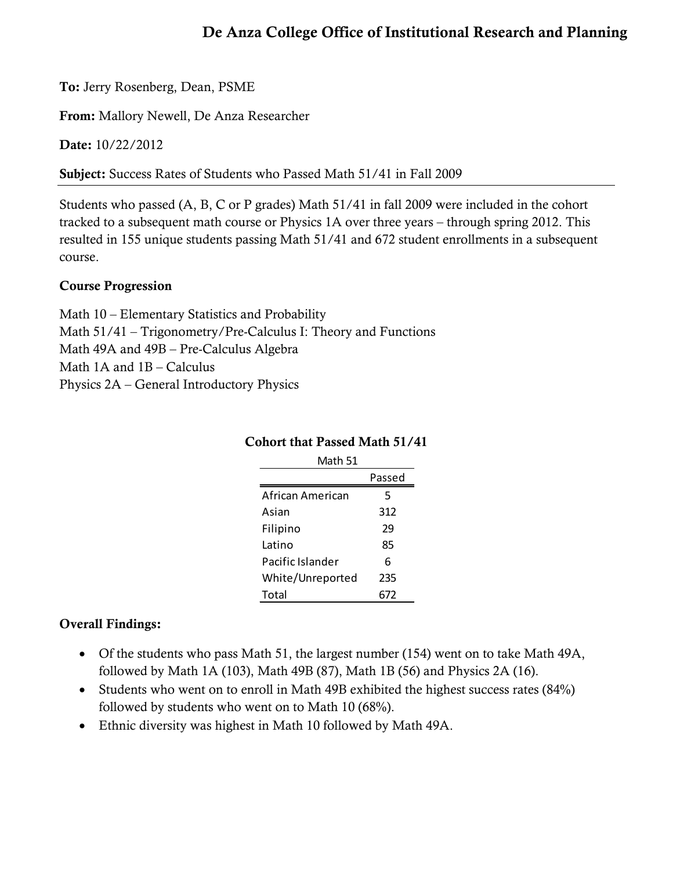# De Anza College Office of Institutional Research and Planning

To: Jerry Rosenberg, Dean, PSME

From: Mallory Newell, De Anza Researcher

Date: 10/22/2012

Subject: Success Rates of Students who Passed Math 51/41 in Fall 2009

Students who passed (A, B, C or P grades) Math 51/41 in fall 2009 were included in the cohort tracked to a subsequent math course or Physics 1A over three years – through spring 2012. This resulted in 155 unique students passing Math 51/41 and 672 student enrollments in a subsequent course.

### Course Progression

Math 10 – Elementary Statistics and Probability Math 51/41 – Trigonometry/Pre-Calculus I: Theory and Functions Math 49A and 49B – Pre-Calculus Algebra Math 1A and 1B – Calculus Physics 2A – General Introductory Physics

| Math 51          |        |  |  |  |  |  |
|------------------|--------|--|--|--|--|--|
|                  | Passed |  |  |  |  |  |
| African American | 5      |  |  |  |  |  |
| Asian            | 312    |  |  |  |  |  |
| Filipino         | 29     |  |  |  |  |  |
| Latino           | 85     |  |  |  |  |  |
| Pacific Islander | 6      |  |  |  |  |  |
| White/Unreported | 235    |  |  |  |  |  |
| Total            | 672    |  |  |  |  |  |

#### Cohort that Passed Math 51/41

## Overall Findings:

- Of the students who pass Math 51, the largest number (154) went on to take Math 49A, followed by Math 1A (103), Math 49B (87), Math 1B (56) and Physics 2A (16).
- Students who went on to enroll in Math 49B exhibited the highest success rates (84%) followed by students who went on to Math 10 (68%).
- Ethnic diversity was highest in Math 10 followed by Math 49A.